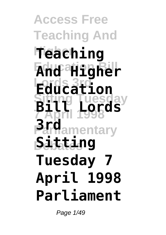**Access Free Teaching And Higher Teaching Education Bill And Higher Lords 3rd Education Sitting Tuesday 7 April 1998 Parliamentary 3rd Debates Sitting Bill Lords Tuesday 7 April 1998 Parliament**

Page 1/49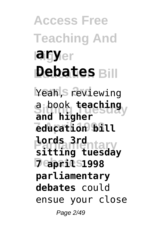**Access Free Teaching And Haigy**er **Debates** Bill Yeah, **S** reviewing **Sitting Tuesday** a book **teaching 7 April 1998 education bill Parliamentary lords 3rd Debates 7 april 1998 and higher sitting tuesday parliamentary debates** could ensue your close Page 2/49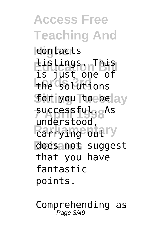**Access Free Teaching And Higher** contacts **Listings.** This **Lords 3rd** the solutions **for iyou Toebelay successfulggAs** *<u>Parrying</u>* butry does not suggest is just one of understood, that you have fantastic points.

Comprehending as Page 3/49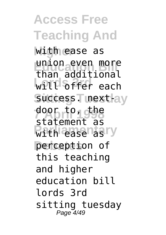**Access Free Teaching And Higher** with ease as union even more<br>than additional **Lords 3rd** will offer each success<sub>T</sub> next-ay door to, the **With easenasry** perception of union even more statement as this teaching and higher education bill lords 3rd sitting tuesday Page 4/49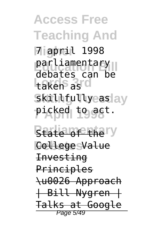**Access Free Teaching And Higher** 7 april 1998 parliamentary<br>debates 22**P** taken as d Skilhfullyeaslay picked to act. debates can be

**Beate of the ry Debates** College Value Investing **Principles** \u0026 Approach | Bill Nygren | Talks at Google Page 5/49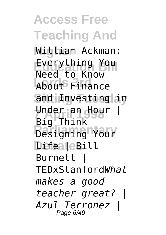**Access Free Teaching And Higher** William Ackman: **Everything You** About Finance and Investing in **Under an Hour | Parliamentary** DifeateBill Need to Know Big Think Burnett | TEDxStanford*What makes a good teacher great? | Azul Terronez |* Page 6/49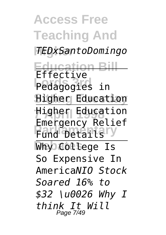**Access Free Teaching And Higher** *TEDxSantoDomingo* **Education Bill Pedagogies** in **Higher Education 7 April 1998** Higher Education **Pund Details<sup>ry</sup>** Why College Is Effective Emergency Relief So Expensive In America*NIO Stock Soared 16% to \$32 \u0026 Why I think It Will* Page 7/49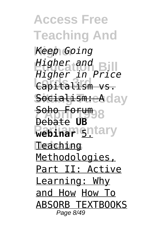**Access Free Teaching And Higher** *Keep Going* **Education Bill** *Higher and* **Lords 3rd** Capitalism vs. Socialism: eA day **Soho Forum**<sub>98</sub> **Webinar** 6ntary **Teaching** *Higher in Price* Debate **UB** Methodologies, Part II: Active Learning: Why and How How To ABSORB TEXTBOOKS Page 8/49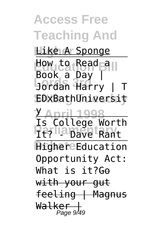**Access Free Teaching And Like A Sponge** How to Read all **Lords 3rd** Jordan Harry | T **Sitting Tuesday** EDxBathUniversit **7 April 1998** y **Parlia pave tRant Higher Education** Book a Day | Is College Worth Opportunity Act: What is it?<del>Go</del> with your gut feeling | Magnus Walker | Page 9/49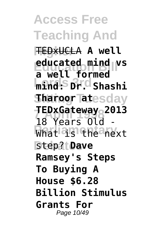**Access Free Teaching And Higher** TEDxUCLA **A well Educated mind vs Lords 3rd mind: Dr. Shashi Sharoor Tatesday 7 April 1998 TEDxGateway 2013** What **is the next Debates** step? **Dave a well formed** 18 Years Old **Ramsey's Steps To Buying A House \$6.28 Billion Stimulus Grants For** Page 10/49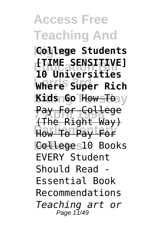# **Access Free Teaching And**

**Higher College Students Education Bill [TIME SENSITIVE] Lords 3rd Where Super Rich Sitting Tuesday Kids Go** How To **Pay For College Parliamentary** How To Pay For Colleges10 Books **10 Universities** (The Right Way) EVERY Student Should Read - Essential Book Recommendations *Teaching art or* Page 11/49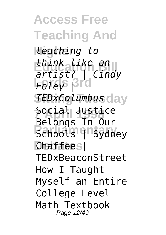**Access Free Teaching And Higher** *teaching to* **Education Bill** *think like an* **Lords 3rd** *Foley |* **Sitting Tuesday** *TEDxColumbus* **7 April 1998** Social Justice **Parliamentary** Chaffee<sub>S</sub> *artist? | Cindy* Belongs In Our TEDxBeaconStreet How I Taught Myself an Entire College Level Math Textbook Page 12/49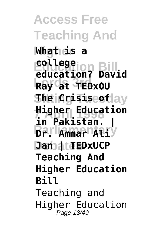**Access Free Teaching And Higher What is a Education Bill education? David Lords 3rd Ray at TEDxOU SheiQcisiseotlay 7 April 1998 Higher Education Barlammar Aliy Dan at EDxUCP college in Pakistan. | Teaching And Higher Education Bill** Teaching and Higher Education Page 13/49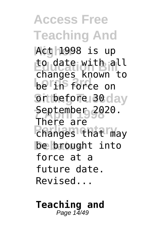**Access Free Teaching And Higher** Act 1998 is up to date with all<br>
shanges known to **Lords** 3 Force on or before 30 day September 2020.<br>There *<u>Changes</u>* that may be brought into changes known to There are force at a future date. Revised...

#### **Teaching and** Page  $1\overline{4}/49$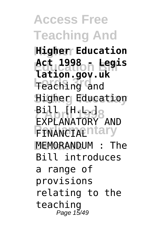**Access Free Teaching And Higher Higher Education Education Bill Act 1998 - Legis Lords 3rd** Teaching and **Higher Education 811**<br>Explanatoby **PENANCIALITY MEMORANDUM : The lation.gov.uk** EXPLANATORY AND Bill introduces a range of provisions relating to the teaching Page 15/49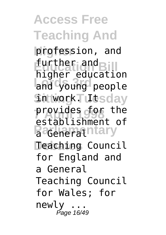**Access Free Teaching And Higher** profession, and **further and Bill Lords 3rd** and young people SntworkTutsday **provides for the Paceherathtary Debates** Teaching Council higher education establishment of for England and a General Teaching Council for Wales; for newly ... Page 16/49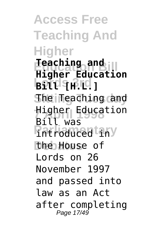**Access Free Teaching And Higher Education Bill Higher Education Lords 3rd Bill [H.L.] Sitting Tuesday** The Teaching and **Higher Education**<br>Pill 12 **Patroduced iny** the House of **Teaching and** Bill was Lords on 26 November 1997 and passed into law as an Act after completing Page 17/49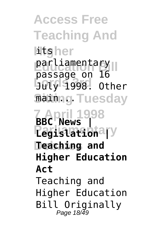**Access Free Teaching And** l**it**gher parliamentary<br>Passesse on 16 **Lords 3rd** July 1998. Other **Mainng Tuesday 7 April 1998 BBC News | Parliamentary Legislation | Debates Teaching and** passage on 16 **Higher Education Act** Teaching and Higher Education Bill Originally Page 18/49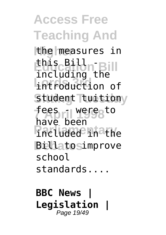**Access Free Teaching And Higher** the measures in **Education Bill** including the **Lords 3rd** introduction of Student Tuitiony **7 April 1998** fees - were to **Fincluded Inathe Billatosimprove**  $\overline{\texttt{this}}$  Bill, have been school standards....

**BBC News | Legislation |** Page 19/49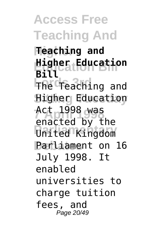**Access Free Teaching And Higher Teaching and Education Bill Higher Education Lords 3rd** The Teaching and **Higher Education 7 April 1998** Act 1998 was **Parliamentary** United Kingdom Parliament on 16 **Bill** enacted by the July 1998. It enabled universities to charge tuition fees, and Page 20/49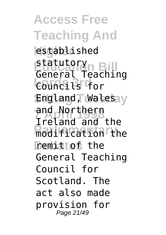**Access Free Teaching And Higher** established Statutory<br>General Teaching **Lords 3rd** Councils for England, Walesay and Northern<br>Tralend and **Paraditication** the **Demittof** the statutory Ireland and the General Teaching Council for Scotland. The act also made provision for Page 21/49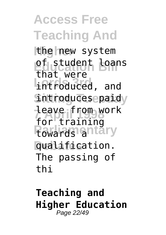**Access Free Teaching And Higher** the new system of student <u>loans</u> **Lords 3rd** introduced, and **Sntroduces** paidy **7 April 1998** leave from work **Pavards antary Debates** qualification. that were for training The passing of thi

### **Teaching and Higher Education** Page 22/49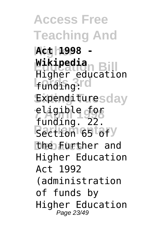**Access Free Teaching And Higher Act 1998 - Wikipedia<br>Higher education Lords 3rd** funding: Expendituresday eligible for<br>funding **Partition 65 tory** the Further and **Wikipedia** funding. 22. Higher Education Act 1992 (administration of funds by Higher Education Page 23/49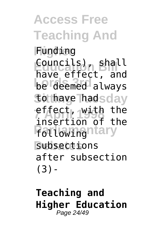**Access Free Teaching And Higher** Funding **Education Bill** Councils), shall **Lords** 3.122, and to have hadsday **7 April 1998** effect, with the **Followinghtary** subsections have effect, and insertion of the after subsection (3)-

### **Teaching and Higher Education** Page 24/49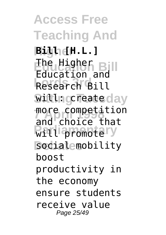**Access Free Teaching And Higher Bill [H.L.] Education Bill** Education and **Lords 3rd** Research Bill witting **Teate** day more competition **Will promotery** socialemobility The Higher and choice that boost productivity in the economy ensure students receive value Page 25/49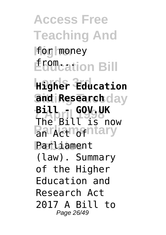**Access Free Teaching And Higher** for money **EGO**Cation Bill

**Lords 3rd Higher Education** and **Research** day **Bill 1999UK Parliamentary** Parliament The Bill is now (law). Summary of the Higher Education and Research Act 2017 A Bill to Page 26/49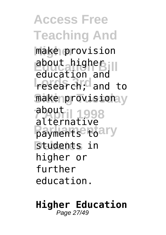**Access Free Teaching And Higher** make provision **Education Bill** about higher **Lords 2018** make provisionay apout<br>alternative **Payments** toary **Debates** students in education and about higher or further education.

#### **Higher Education** Page 27/49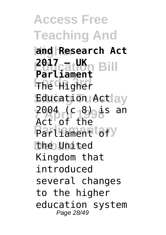**Access Free Teaching And Higher and Research Act Polication Bill Lords 3rd** The Higher Education Actlay **2004 (c 8)** is an Parliament tofy **Debates** the United **Parliament** Act of the Kingdom that introduced several changes to the higher education system Page 28/49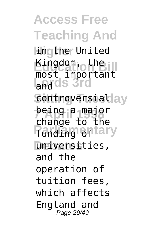**Access Free Teaching And Hingther United Kingdom, the Land ds 3rd** controversiablay **being a major Panding of tary Debates** universities, most important change to the and the operation of tuition fees, which affects England and Page 29/49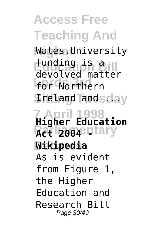**Access Free Teaching And Higher** Wales.University **Education Bill** funding is a **Lords 3rd** for Northern **Sitting Tuesday** Ireland and ... **7 April 1998 Higher Education Retl<sub>2004</sub> attary Debates Wikipedia** devolved matter As is evident from Figure 1, the Higher Education and Research Bill Page 30/49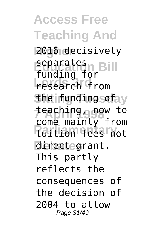**Access Free Teaching And Higher** 2016 decisively **Education Bill** separates **Lords 3rd** research from *Sheifunding sofay* teaching<sub>o</sub>gow to **Partion fees not** directegrant. funding for come mainly from This partly reflects the consequences of the decision of 2004 to allow Page 31/49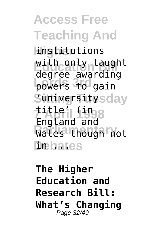**Access Free Teaching And Higher** institutions with only taught **powers** to gain Suniversity<sub>sday</sub> **7 April 1998** title' (in **Parliamentary** Wales though not Debates degree-awarding England and

### **The Higher Education and Research Bill: What's Changing** Page 32/49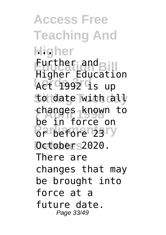**Access Free Teaching And Higher ... Eurther and Bill Lord 3rd**<br>**Act 1992 is up Sitting Tuesday** to date with all **7 April 1998** changes known to **Parliamentary Debates** October 2020. Higher Education be in force on There are changes that may be brought into force at a future date. Page 33/49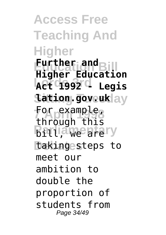**Access Free Teaching And Higher Education Bill Higher Education Lords 3rd Act 1992 - Legis Sitting Tuesday lation.gov.uk For example,<br>through this Brtliamentary** taking steps to **Further and** through this meet our ambition to double the proportion of students from Page 34/49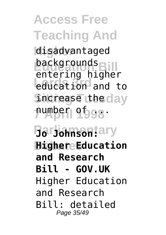**Access Free Teaching And Higher** disadvantaged **backgrounds Lords 3rd** education and to **Sitcrease** the day **7 April 1998** number of ... entering higher

**Parliamentary Jo Johnson: Higher Education and Research Bill - GOV.UK** Higher Education and Research Bill: detailed Page 35/49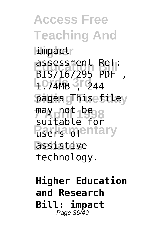**Access Free Teaching And Limpact Assessment Ref:**<br>BIC/16/205 RDE LO74MB 3rd44 pages <sub>G</sub>This e filey may not be 8 **RacHargentary Debates** assistive BIS/16/295 PDF , suitable for technology.

**Higher Education and Research Bill: impact** Page 36/49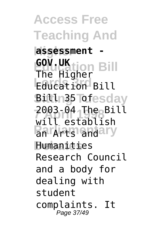**Access Free Teaching And Higher assessment - Education Bill GOV.UK Lournal** Bill **BiltIn35 Tofesday 7 April 1998** 2003-04 The Bill **Parking and ary Debates** Humanities The Higher will establish Research Council and a body for dealing with student complaints. It Page 37/49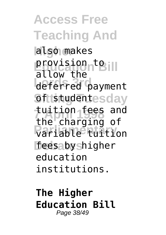**Access Free Teaching And Higher** also makes provision to Ill **Lords 3rd** deferred payment **Sftistudentesday 7 April 1998** tuition fees and **Parliamentary** variable tuition feesaby shigher allow the the charging of education institutions.

**The Higher Education Bill** Page 38/49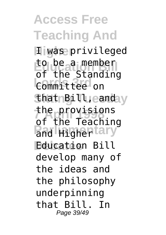**Access Free Teaching And H**iwas privileged **Education Bill** to be a member **Lords 3rd** Committee on **ShatnBill, eanday** the provisions<br>
at the Teaching **Pand Highertary Debates** Education Bill of the Standing of the Teaching develop many of the ideas and the philosophy underpinning that Bill. In Page 39/49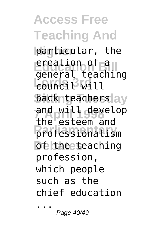**Access Free Teaching And Higher** particular, the **Execution of a Louncil** Will back teachers ay and will develop **Parliamentary** professionalism **Dethe teaching** general teaching the esteem and profession, which people such as the chief education

...

Page 40/49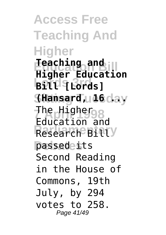**Access Free Teaching And Higher Education Bill Higher Education Lords 3rd Bill [Lords] Sitting Tuesday (Hansard, 16 ... The Highergs Research Billy** passede<sub>its</sub> **Teaching and** Education and Second Reading in the House of Commons, 19th July, by 294 votes to 258. Page 41/49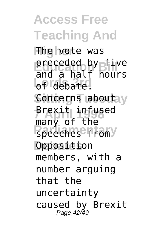# **Access Free Teaching And**

**Higher** The vote was preceded by five **Lords 3rd** of debate. Concerns aboutay **Brexit infused Paramentary Opposition** and a half hours many of the members, with a number arguing that the uncertainty caused by Brexit Page 42/49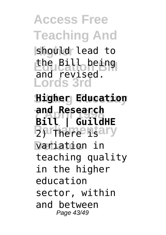**Access Free Teaching And Higher** should lead to **Education Bill** the Bill being **Lords 3rd Sitting Tuesday Higher Education** and revised.

**7 April 1998 Bill | GuildHE Parliamentary Debates** variation in **and Research** teaching quality in the higher education sector, within and between Page 43/49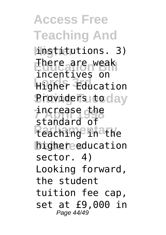**Access Free Teaching And Higher** institutions. 3) **Ehere are weak Lords 3rd**<br> **Higher Education Providers to day** increase the **Parliamentary** teaching in the higher education incentives on standard of sector. 4) Looking forward, the student tuition fee cap, set at £9,000 in Page 44/49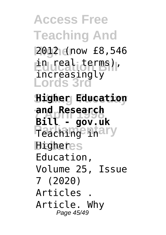**Access Free Teaching And Higher** 2012 (now £8,546 **Education Bill** in real terms), **Lords 3rd Sitting Tuesday Higher Education 7 April 1998 and Research Parliamentary Digheres** increasingly **Bill - gov.uk** Education, Volume 25, Issue 7 (2020) Articles . Article. Why Page 45/49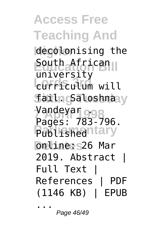**Access Free Teaching And Higher** decolonising the **Education Bill** South African **Lordiculum** will **failng aloshnay** Vandeyar o.98 Published nary **Debates** online: 26 Mar university Pages: 783-796. 2019. Abstract | Full Text | References | PDF (1146 KB) | EPUB ...

Page 46/49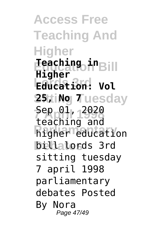**Access Free Teaching And Higher Education Bill Teaching in Lords 3rd Education: Vol 25ttiNg Tuesday 5ep 01, 2020 Producation billalords** 3rd **Higher** teaching and sitting tuesday 7 april 1998 parliamentary debates Posted By Nora Page 47/49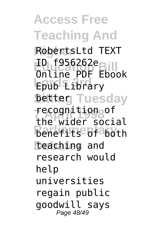**Access Free Teaching And Higher** RobertsLtd TEXT **Education Bill** Online PDF Ebook **Lords 3rd** Epub Library **Setteg Tuesday 7 April 1998** recognition of **Benefits** of aboth **Debates** teaching and ID f956262e the wider social research would help universities regain public goodwill says Page 48/49